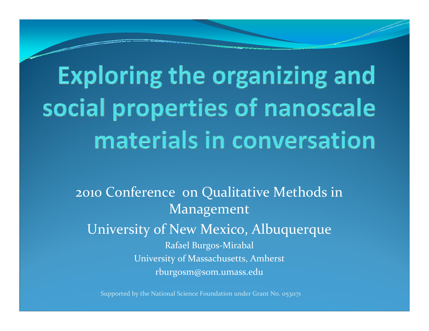## Exploring the organizing and social properties of nanoscale materials in conversation

2010 Conference on Qualitative Methods in Management University of New Mexico, Albuquerque Rafael Burgos‐Mirabal University of Massachusetts, Amherst rburgosm@som.umass.edu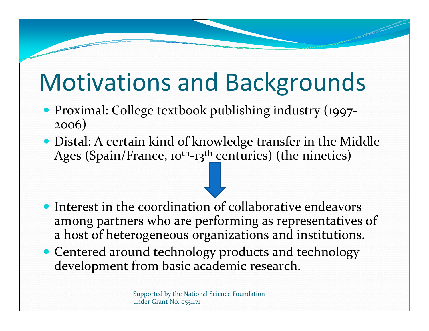### Motivations and Backgrounds

- Proximal: College textbook publishing industry (1997‐ 2006)
- Distal: A certain kind of knowledge transfer in the Middle Ages (Spain/France, 10<sup>th</sup>-13<sup>th</sup> centuries) (the nineties)

- $\bullet$  Interest in the coordination of collaborative endeavors among partners who are performing as representatives of a host of heterogeneous organizations and institutions.
- Centered around technology products and technology development from basic academic research.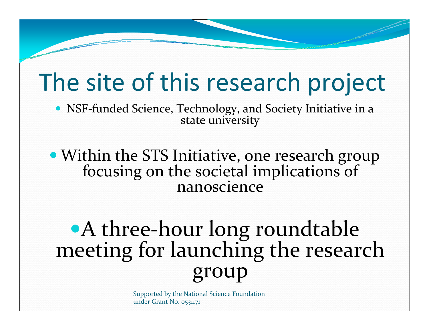### The site of this research project

 NSF‐funded Science, Technology, and Society Initiative in <sup>a</sup> state university

 Within the STS Initiative, one research group focusing on the societal implications of nanoscience

#### A three‐hour long roundtable meeting for launching the research group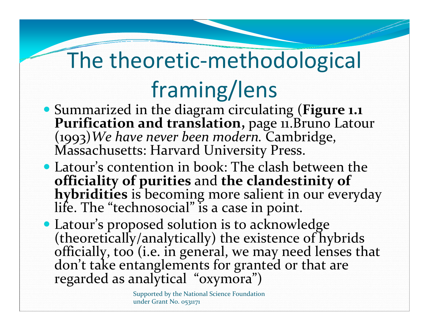### The theoretic ‐methodological framing/lens

- Summarized in the diagram circulating (**Figure 1.1 PurificationPurification and translation**, page 11. Bruno Latour (1993)*We have never been modern.* Cambridge, Massachusetts: Harvard University Press.
- Latour's contention in book: The clash between the **officiality** of purities and the clandestinity of hybridities is becoming more salient in our everyday "technosocial" is a case in point.
- Latour's proposed solution is to acknowledge (theoretically/analytically) the existence of hybrids<br>officially, too (i.e. in general, we may need lenses that t take entanglements for granted or that are regarded as analytical "oxymora")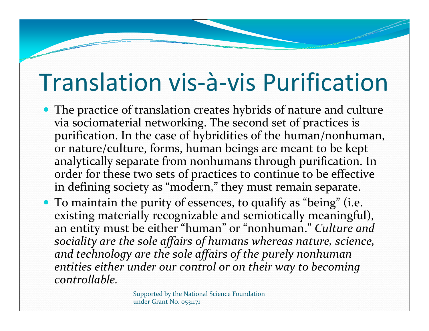### Translation vis‐à‐vis Purification

- The practice of translation creates hybrids of nature and culture via sociomaterial networking. The second set of practices is purification. In the case of hybridities of the human/nonhuman, or nature/culture, forms, human beings are meant to be kept analytically separate from nonhumans through purification. In order for these two sets of practices to continue to be effective in defining society as "modern," they must remain separate.
- To maintain the purity of essences, to qualify as "being" (i.e. existing materially recognizable and semiotically meaningful), an entity must be either "human" or "nonhuman." *Culture and sociality are the sole affairs of humans whereas nature, science, and technology are the sole affairs of the purely nonhuman entities either under our control or on their way to becoming controllable.*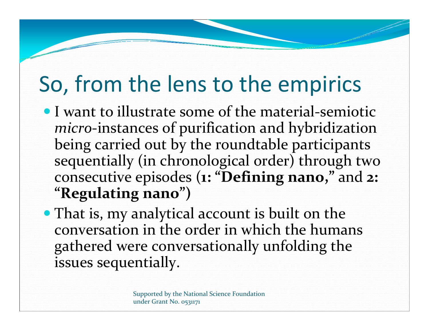#### So, from the lens to the empirics

- I want to illustrate some of the material‐semiotic *micro*‐instances of purification and hybridization being carried out by the roundtable participants sequentially (in chronological order) through two consecutive episodes (**1: "Defining nano,"** and **2: "Regulating nano")**
- That is, my analytical account is built on the conversation in the order in which the humans gathered were conversationally unfolding the issues sequentially.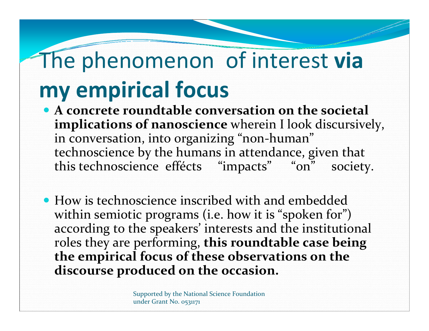### The phenomenon of interest **via my empirical focus**

- **A concrete roundtable conversation on the societal implications of nanoscience** wherein I look discursively, in conversation, into 0rganizing "non‐human" technoscience by the humans in attendance, given that this technoscience effécts "impacts" "on" society.
- How is technoscience inscribed with and embedded within semiotic programs (i.e. how it is "spoken for") according to the speakers' interests and the institutional roles they are performing, **this roundtable case being the empirical focus of these observations on the discourse produced on the occasion.**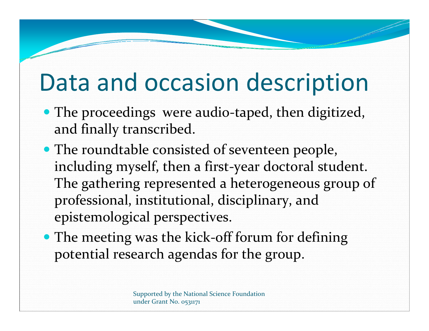### Data and occasion description

- The proceedings were audio-taped, then digitized, and finally transcribed.
- The roundtable consisted of seventeen people, including myself, then <sup>a</sup> first‐year doctoral student. The gathering represented <sup>a</sup> heterogeneous group of professional, institutional, disciplinary, and epistemological perspectives.
- The meeting was the kick-off forum for defining potential research agendas for the group.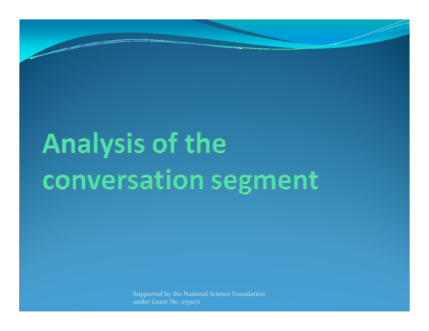# Analysis of the conversation segment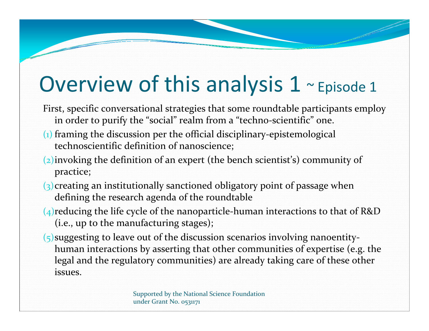#### Overview of this analysis 1 ~ Episode 1

- First, specific conversational strategies that some roundtable participants employ in order to purify the "social" realm from <sup>a</sup> "techno‐scientific" one.
- $(i)$  framing the discussion per the official disciplinary-epistemological technoscientific definition of nanoscience;
- (2)invoking the definition of an exper<sup>t</sup> (the bench scientist's) community of practice;
- (3)creating an institutionally sanctioned obligatory point of passage when defining the research agenda of the roundtable
- ( $4$ ) reducing the life cycle of the nanoparticle-human interactions to that of R&D (i.e., up to the manufacturing stages);
- $(5)$  suggesting to leave out of the discussion scenarios involving nanoentityhuman interactions by asserting that other communities of expertise (e.g. the legal and the regulatory communities) are already taking care of these other issues.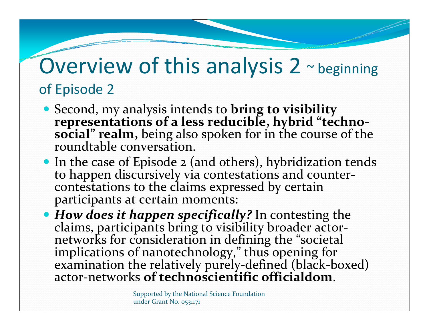#### Overview of this analysis 2  $\sim$  beginning of Episode 2

- Second, my analysis intends to **bring to visibility representations of a less reducible, hybrid "techno ‐ social" realm**, being also spoken for in the course of the roundtable conversation.
- In the case of Episode 2 (and others), hybridization tends to happen discursively via contestations and counter ‐ contestations to the claims expressed by certain participants at certain moments:
- *How does it happen specifically?* In contesting the claims, participants bring to visibility broader actor claims, participants bring to visibility broader actor-<br>networks for consideration in defining the "societal networks for consideration in defining the "societal<br>implications of nanotechnology," thus opening for examination the relatively purely ‐defined (black ‐boxed) actor ‐networks **of technoscientific officialdom**.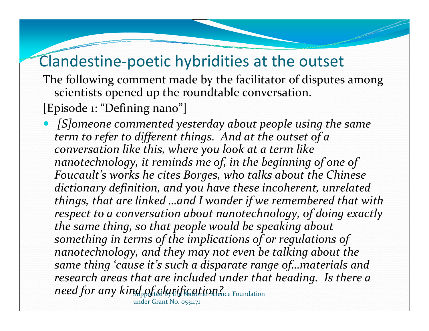#### Clandestine ‐poetic hybridities at the outset

The following comment made by the facilitator of disputes among scientists opened up the roundtable conversation.

[Episode 1: "Defining nano"]

 *[S]omeone commented yesterday about people using the same term to refer to different things. And at the outset of a conversation like this, where you look at a term like nanotechnology, it reminds me of, in the beginning of one of Foucault's works he cites Borges, who talks about the Chinese dictionary definition, and you have these incoherent, unrelated things, that are linked …and I wonder if we remembered that with respect to a conversation about nanotechnology, of doing exactly the same thing, so that people would be speaking about something in terms of the implications of or regulations of nanotechnology, and they may not even be talking about the same thing 'cause it's such a disparate range of…materials and research areas that are included under that heading. Is there a need for any kind of talgrification?* Equiportion

under Grant No. 0531171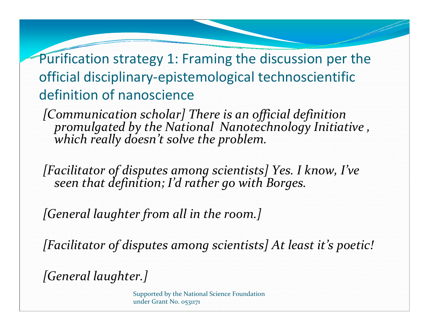Purification strategy 1: Framing the discussion per the official disciplinary‐epistemological technoscientific definition of nanoscience

*[Communication scholar] There is an official definition promulgated by the National Nanotechnology Initiative , which<u>k</u>*which really doesn't solve the problem.

*[Facilitator of disputes among scientists] Yes. <sup>I</sup> know, I've seen that definition; I'd rather go with Borges.*

*[General laughter from all in the room.]*

*[Facilitator of disputes among scientists] At least it's poetic!*

*[General laughter.]*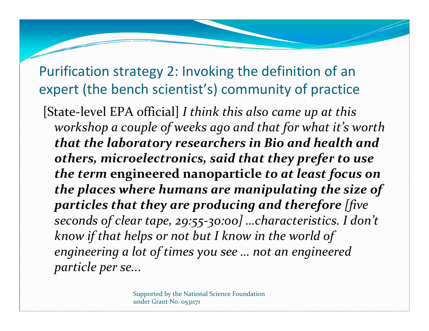#### Purification strategy 2: Invoking the definition of an expert (the bench scientist's) community of practice

[State‐level EPA official] *<sup>I</sup> think this also came up at this workshop <sup>a</sup> couple of weeks ago and that for what it's worth that the laboratory researchers in Bio and health and others, microelectronics, said that they prefer to use the term* **engineered nanoparticle** *to at least focus on the places where humans are manipulating the size of particles that they are producing and therefore [five seconds of clear tape, 29:55‐30:00] …characteristics. <sup>I</sup> don't know if that helps or not but I know in the world of engineering <sup>a</sup> lot of times you see … not an engineered particle per se...*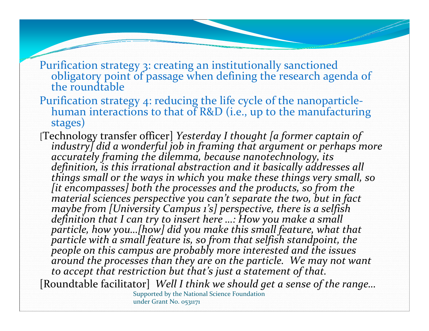- Purification strategy 3: creating an institutionally sanctioned<br>obligatory point of passage when defining the research agenda of<br>the roundtable the roundtable
- Purification strategy 4: reducing the life cycle of the nanoparticle ‐ human interactions to that of R&D (i.e., up to the manufacturing stages)
- [Technology transfer officer] *Yesterday I thought [a former captain of industry] did a*definition, is this irrational abstraction and it basically addresses all<br>things small or the ways in which you make these things very small, so<br>[it encompasses] both the processes and the products, so from the *sciences perspective you can't separate the two, but in fact* maybe from [University Campus 1's] perspective, there is a selfish<br>definition that I can try to insert here ...: How you make a small *particle, how you…[how] did you make this small feature, what that particle with a small feature is, so from that selfish standpoint, the* people on this campus are probably more interested and the issues<br>around the processes than they are on the particle. We may not want *to accep<sup>t</sup> that restriction but that's just a statement of that.*

[Roundtable facilitator] *Well I think we should get a sense of the range…* Supported by the National Science Foundation under Grant No. 0531171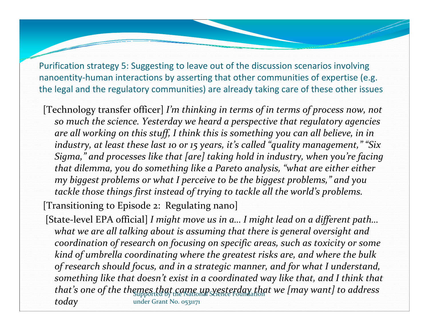Purification strategy 5: Suggesting to leave out of the discussion scenarios involving nanoentity-human interactions by asserting that other communities of expertise (e.g. the legal and the regulatory communities) are already taking care of these other issues

[Technology transfer officer] *I'm thinking in terms of in terms of process now, not so much the science. Yesterday we heard <sup>a</sup> perspective that regulatory agencies are all working on this stuff, <sup>I</sup> think this is something you can all believe, in in industry, at least these last <sup>10</sup> or <sup>15</sup> years, it's called "quality management," "Six Sigma," and processes like that [are] taking hold in industry, when you're facing that dilemma, you do something like <sup>a</sup> Pareto analysis, "what are either either my biggest problems or what <sup>I</sup> perceive to be the biggest problems," and you tackle those things first instead of trying to tackle all the world's problems.*

[Transitioning to Episode 2: Regulating nano] [State‐level EPA official] *<sup>I</sup> might move us in a… <sup>I</sup> might lead on <sup>a</sup> different path… what we are all talking about is assuming that there is general oversight and coordination of research on focusing on specific areas, such as toxicity or some kind of umbrella coordinating where the greatest risks are, and where the bulk of research should focus, and in <sup>a</sup> strategic manner, and for what I understand,*

*something like that doesn't exist in <sup>a</sup> coordinated way like that, and <sup>I</sup> think that that's one of the themes that came up yesterday that we [may want] to address that s* one of the the under Grant No. 0531171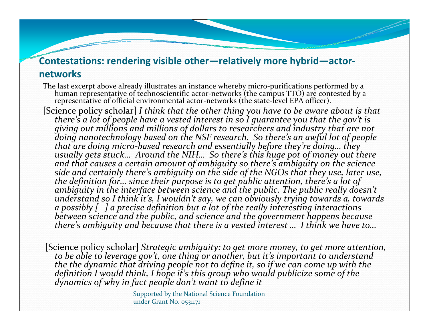#### **Contestations: rendering visible other—relatively more hybrid—actor ‐ networks**

The last excerp<sup>t</sup> above already illustrates an instance whereby micro‐purifications performed by a human representative of technoscientific actor‐networks (the campus TTO) are contested by a representative of official environmental actor-networks (the state-level EPA officer).

[Science policy scholar] *I think that the other thing you have to be aware about is that there's a lot of people have a vested interest in so I guarantee you that the gov't is* giving out millions and millions of dollars to researchers and industry that are not<br>doing nanotechnology based on the NSF research. So there's an awful lot of people that are doing micro-based research and essentially before they're doing… they<br>usually gets stuck… Around the NIH… So there's this huge pot of money out there<br>and that causes a certain amount of ambiauity so there's ambiau and that causes a certain amount of ambiguity so there's ambiguity on the science<br>side and certainly there's ambiguity on the side of the NGOs that they use, later use,<br>the definition for… since their purpose is to aet pub *definition for… since their purpose is to ge<sup>t</sup> public attention, there's a*ambiguity in the interface between science and the public. The public really doesn't *so I think it's, I wouldn't say, we can obviously trying towards a, towards a possibly [ ] a precise definition but a lot of the really interesting interactions betweenbetween science* and *the public, and science* and *the government happens because ambiguity and because that there is a vested interest … I think we have to…*

[Science policy scholar] *Strategic ambiguity: to ge<sup>t</sup> more money, to ge<sup>t</sup> more attention, to be able to leverage gov't, one thing or another, but it's important to understand the the dynamic that driving people not to define it, so if we can come up with the definition* definition I would think, I hope it's this group who would publicize some of the<br>dynamics of why in fact people don't want to define it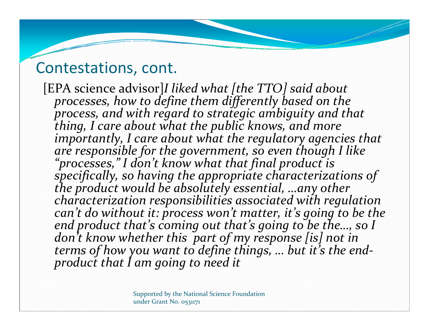#### Contestations, cont.

[EPA science advisor] *I liked what [the TTO] said about processes, how to define them differently based on the process, and with regar<sup>d</sup> to strategic ambiguity and that thing, I care*thing, I care about what the public knows, and more<br>importantly, I care about what the regulatory agencies that *are responsible for the government, so even though I like "processes," <sup>I</sup> don't know what that final product is specifically,* so having the appropriate characterizations of the product would be absolutely essential, ...any other *product would be absolutely essential, …any other characterization responsibilities associated with regulation can't do without it: process won't matter, it's going to be the end product that's coming out that's going to be the…, so I don't know whether this par<sup>t</sup> of my response [is] not in terms of how you want to define things, … but it's the end ‐ product that I am going to need it*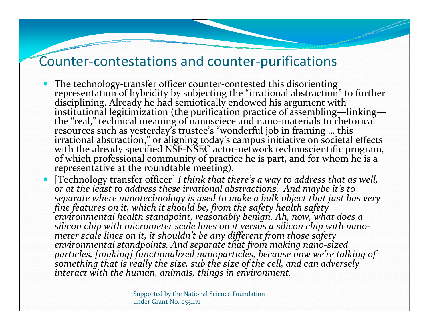#### Counter-contestations and counter-purifications

- $\bullet$ • The technology-transfer officer counter-contested this disorienting representation of hybridity by subjecting the "irrational abstraction" to further disciplining. Already he had semiotically endowed his argument with institutional legitimization (the purification practice of assembling—linking—<br>the "real," technical meaning of nanosciece and nano-materials to rhetorical resources such as yesterday's trustee's "wonderful job in framing … this<br>irrational abstraction." or aligning todav's campus initiative on societal irrational abstraction," or aligning today's campus initiative on societal effects with the already specified NSF-NSEC actor-network technoscientific program,<br>of which professional community of practice he is part, and for whom he is a which professional community of practice he is part, and for whom he is a representative at the roundtable meeting).
- 0 [Technology transfer officer] *I think that there's a way to address that as well, or at the least to address these irrational abstractions. And maybe it's to* separate where nanotechnology is used to make a bulk object that just has very<br>fine features on it, which it should be, from the safety health safety<br>environmental health standpoint, reasonably benign. Ah, now, what does a *silicon chip with micrometer scale lines on it versus a silicon chip with nano ‐ meter scale lines on it, it shouldn't be any different from those safety environmental standpoints. And separate that from making nano ‐sized* particles, [making] functionalized nanoparticles, because now we're talking of<br>something that is really the size, sub the size of the cell, and can adversely *interact with the human, animals, things in environment.*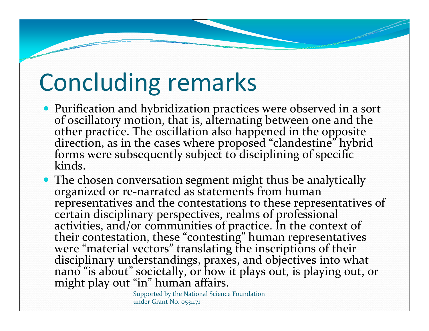### Concluding remarks

- Purificationof oscillatory motion, that is, alternating between one and the of oscillatory motion, that is, alternating between one and the<br>other practice. The oscillation also happened in the opposite other practice. The oscillation also happened in the opposite<br>direction, as in the cases where proposed "clandestine" hybrid<br>forms were subsequently subiect to disciplining of specific forms were subsequently subject to disciplining of specific<br>kinds.
- The chosen conversation segment might thus be analytically organized or re‐narrated as statements from human representatives and the contestations to these representatives of certain disciplinary perspectives, realms of professional activities, and/or communities of practice. In the context of<br>their contestation, these "contesting" human representatives werewere "material vectors" translating the inscriptions of their<br>disciplinary understandings, praxes, and objectives into what nano "is about" societally, or how it <sup>p</sup>lays out, is <sup>p</sup>laying out, or might <sup>p</sup>lay out "in" human affairs.